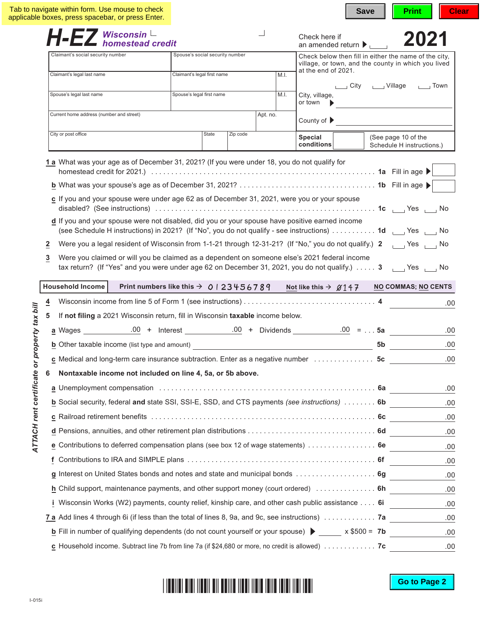|                            | $H$ -EZ Wisconsin L<br>homestead credit<br>Check here if<br>an amended return $\blacktriangleright$<br>Claimant's social security number                                                                                                    |  |                                     |  |  |                                                                                                              | 2021                                                                                         |                                                  |    |                                                            |  |  |  |  |  |  |  |
|----------------------------|---------------------------------------------------------------------------------------------------------------------------------------------------------------------------------------------------------------------------------------------|--|-------------------------------------|--|--|--------------------------------------------------------------------------------------------------------------|----------------------------------------------------------------------------------------------|--------------------------------------------------|----|------------------------------------------------------------|--|--|--|--|--|--|--|
|                            |                                                                                                                                                                                                                                             |  | Spouse's social security number     |  |  | Check below then fill in either the name of the city,<br>village, or town, and the county in which you lived |                                                                                              |                                                  |    |                                                            |  |  |  |  |  |  |  |
|                            | Claimant's legal last name                                                                                                                                                                                                                  |  | Claimant's legal first name<br>M.I. |  |  | at the end of 2021.<br>City ______ Village _______ Town                                                      |                                                                                              |                                                  |    |                                                            |  |  |  |  |  |  |  |
|                            | Spouse's legal last name                                                                                                                                                                                                                    |  | Spouse's legal first name<br>M.I.   |  |  | City, village,                                                                                               |                                                                                              |                                                  |    |                                                            |  |  |  |  |  |  |  |
|                            |                                                                                                                                                                                                                                             |  |                                     |  |  | or town                                                                                                      |                                                                                              |                                                  |    |                                                            |  |  |  |  |  |  |  |
|                            | Current home address (number and street)                                                                                                                                                                                                    |  | Apt. no.                            |  |  | County of $\blacktriangleright$                                                                              |                                                                                              |                                                  |    |                                                            |  |  |  |  |  |  |  |
|                            | City or post office                                                                                                                                                                                                                         |  | State<br>Zip code                   |  |  | Special<br>conditions                                                                                        |                                                                                              | (See page 10 of the<br>Schedule H instructions.) |    |                                                            |  |  |  |  |  |  |  |
|                            | 1 a What was your age as of December 31, 2021? (If you were under 18, you do not qualify for                                                                                                                                                |  |                                     |  |  |                                                                                                              |                                                                                              |                                                  |    |                                                            |  |  |  |  |  |  |  |
|                            |                                                                                                                                                                                                                                             |  |                                     |  |  |                                                                                                              |                                                                                              |                                                  |    |                                                            |  |  |  |  |  |  |  |
|                            |                                                                                                                                                                                                                                             |  |                                     |  |  |                                                                                                              |                                                                                              |                                                  |    |                                                            |  |  |  |  |  |  |  |
|                            | c If you and your spouse were under age 62 as of December 31, 2021, were you or your spouse                                                                                                                                                 |  |                                     |  |  |                                                                                                              |                                                                                              |                                                  |    |                                                            |  |  |  |  |  |  |  |
|                            | d If you and your spouse were not disabled, did you or your spouse have positive earned income                                                                                                                                              |  |                                     |  |  |                                                                                                              |                                                                                              |                                                  |    |                                                            |  |  |  |  |  |  |  |
|                            | (see Schedule H instructions) in 2021? (If "No", you do not qualify - see instructions)  1d   Yes   No                                                                                                                                      |  |                                     |  |  |                                                                                                              |                                                                                              |                                                  |    |                                                            |  |  |  |  |  |  |  |
|                            | Were you a legal resident of Wisconsin from 1-1-21 through 12-31-21? (If "No," you do not qualify.) 2 \[ Yes \] No<br>$\mathbf{z}$                                                                                                          |  |                                     |  |  |                                                                                                              |                                                                                              |                                                  |    |                                                            |  |  |  |  |  |  |  |
|                            | Were you claimed or will you be claimed as a dependent on someone else's 2021 federal income<br>3                                                                                                                                           |  |                                     |  |  |                                                                                                              |                                                                                              |                                                  |    |                                                            |  |  |  |  |  |  |  |
|                            | tax return? (If "Yes" and you were under age 62 on December 31, 2021, you do not qualify.) 3 [11] Yes [11] No                                                                                                                               |  |                                     |  |  |                                                                                                              |                                                                                              |                                                  |    |                                                            |  |  |  |  |  |  |  |
|                            | Household Income                                                                                                                                                                                                                            |  |                                     |  |  |                                                                                                              | Print numbers like this $\rightarrow$ 0   23 4 5 6 7 8 9 Not like this $\rightarrow$ 0 1 4 7 |                                                  |    | <b>NO COMMAS; NO CENTS</b>                                 |  |  |  |  |  |  |  |
|                            | $\overline{4}$                                                                                                                                                                                                                              |  |                                     |  |  |                                                                                                              |                                                                                              |                                                  |    |                                                            |  |  |  |  |  |  |  |
|                            | 5<br>If not filing a 2021 Wisconsin return, fill in Wisconsin taxable income below.                                                                                                                                                         |  |                                     |  |  |                                                                                                              |                                                                                              |                                                  |    |                                                            |  |  |  |  |  |  |  |
| property tax bill          |                                                                                                                                                                                                                                             |  |                                     |  |  |                                                                                                              |                                                                                              |                                                  |    |                                                            |  |  |  |  |  |  |  |
|                            | <b>b</b> Other taxable income (list type and amount)<br><u>entiting the contract of the contract of the contract of the contract of the contract of the contract of the contract of the contract of the contract of the contract of the</u> |  |                                     |  |  |                                                                                                              |                                                                                              |                                                  | 5b |                                                            |  |  |  |  |  |  |  |
|                            | c Medical and long-term care insurance subtraction. Enter as a negative number 5c                                                                                                                                                           |  |                                     |  |  |                                                                                                              |                                                                                              |                                                  |    |                                                            |  |  |  |  |  |  |  |
|                            | 6                                                                                                                                                                                                                                           |  |                                     |  |  |                                                                                                              |                                                                                              |                                                  |    | Nontaxable income not included on line 4, 5a, or 5b above. |  |  |  |  |  |  |  |
|                            |                                                                                                                                                                                                                                             |  |                                     |  |  |                                                                                                              |                                                                                              |                                                  |    |                                                            |  |  |  |  |  |  |  |
|                            |                                                                                                                                                                                                                                             |  |                                     |  |  |                                                                                                              |                                                                                              |                                                  |    |                                                            |  |  |  |  |  |  |  |
|                            | a Unemployment compensation (and according to the control of the complete of the complete of the complete of t                                                                                                                              |  |                                     |  |  |                                                                                                              |                                                                                              |                                                  |    |                                                            |  |  |  |  |  |  |  |
|                            | b Social security, federal and state SSI, SSI-E, SSD, and CTS payments (see instructions)  6b                                                                                                                                               |  |                                     |  |  |                                                                                                              |                                                                                              |                                                  |    |                                                            |  |  |  |  |  |  |  |
|                            |                                                                                                                                                                                                                                             |  |                                     |  |  |                                                                                                              |                                                                                              |                                                  |    |                                                            |  |  |  |  |  |  |  |
|                            |                                                                                                                                                                                                                                             |  |                                     |  |  |                                                                                                              |                                                                                              |                                                  |    |                                                            |  |  |  |  |  |  |  |
| ATTACH rent certificate or | e Contributions to deferred compensation plans (see box 12 of wage statements)  6e                                                                                                                                                          |  |                                     |  |  |                                                                                                              |                                                                                              |                                                  |    |                                                            |  |  |  |  |  |  |  |
|                            |                                                                                                                                                                                                                                             |  |                                     |  |  |                                                                                                              |                                                                                              |                                                  |    |                                                            |  |  |  |  |  |  |  |
|                            | g Interest on United States bonds and notes and state and municipal bonds 6g                                                                                                                                                                |  |                                     |  |  |                                                                                                              |                                                                                              |                                                  |    |                                                            |  |  |  |  |  |  |  |
|                            | h Child support, maintenance payments, and other support money (court ordered) compared on the substitution of                                                                                                                              |  |                                     |  |  |                                                                                                              |                                                                                              |                                                  |    |                                                            |  |  |  |  |  |  |  |
|                            | Wisconsin Works (W2) payments, county relief, kinship care, and other cash public assistance 6i                                                                                                                                             |  |                                     |  |  |                                                                                                              |                                                                                              |                                                  |    |                                                            |  |  |  |  |  |  |  |
|                            | 7 a Add lines 4 through 6i (if less than the total of lines 8, 9a, and 9c, see instructions)  7a                                                                                                                                            |  |                                     |  |  |                                                                                                              |                                                                                              |                                                  |    |                                                            |  |  |  |  |  |  |  |
|                            | <b>b</b> Fill in number of qualifying dependents (do not count yourself or your spouse) $\triangleright$ _____ x \$500 = 7b _______                                                                                                         |  |                                     |  |  |                                                                                                              |                                                                                              |                                                  |    |                                                            |  |  |  |  |  |  |  |
|                            | $\underline{c}$ Household income. Subtract line 7b from line 7a (if \$24,680 or more, no credit is allowed) $\ldots \ldots \ldots$                                                                                                          |  |                                     |  |  |                                                                                                              |                                                                                              |                                                  |    |                                                            |  |  |  |  |  |  |  |